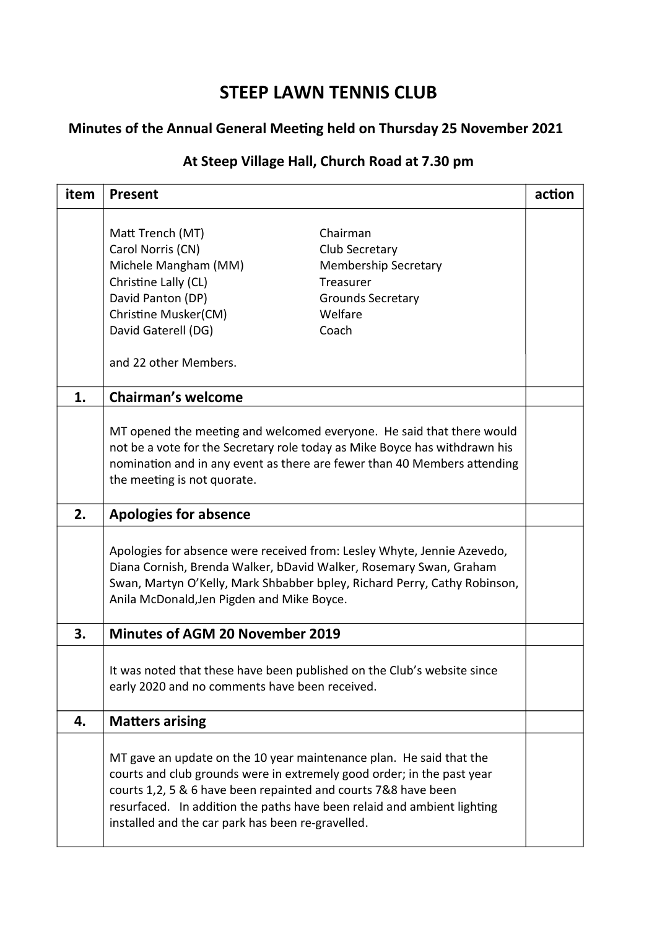# STEEP LAWN TENNIS CLUB

## Minutes of the Annual General Meeting held on Thursday 25 November 2021

## At Steep Village Hall, Church Road at 7.30 pm

| item | Present                                           |                                                                                                                                                                                                                                                                                            | action |
|------|---------------------------------------------------|--------------------------------------------------------------------------------------------------------------------------------------------------------------------------------------------------------------------------------------------------------------------------------------------|--------|
|      | Matt Trench (MT)                                  | Chairman                                                                                                                                                                                                                                                                                   |        |
|      | Carol Norris (CN)                                 | Club Secretary                                                                                                                                                                                                                                                                             |        |
|      | Michele Mangham (MM)                              | <b>Membership Secretary</b>                                                                                                                                                                                                                                                                |        |
|      | Christine Lally (CL)                              | Treasurer                                                                                                                                                                                                                                                                                  |        |
|      | David Panton (DP)                                 | <b>Grounds Secretary</b>                                                                                                                                                                                                                                                                   |        |
|      | Christine Musker(CM)                              | Welfare                                                                                                                                                                                                                                                                                    |        |
|      | David Gaterell (DG)                               | Coach                                                                                                                                                                                                                                                                                      |        |
|      | and 22 other Members.                             |                                                                                                                                                                                                                                                                                            |        |
| 1.   | <b>Chairman's welcome</b>                         |                                                                                                                                                                                                                                                                                            |        |
|      | the meeting is not quorate.                       | MT opened the meeting and welcomed everyone. He said that there would<br>not be a vote for the Secretary role today as Mike Boyce has withdrawn his<br>nomination and in any event as there are fewer than 40 Members attending                                                            |        |
| 2.   | <b>Apologies for absence</b>                      |                                                                                                                                                                                                                                                                                            |        |
|      | Anila McDonald, Jen Pigden and Mike Boyce.        | Apologies for absence were received from: Lesley Whyte, Jennie Azevedo,<br>Diana Cornish, Brenda Walker, bDavid Walker, Rosemary Swan, Graham<br>Swan, Martyn O'Kelly, Mark Shbabber bpley, Richard Perry, Cathy Robinson,                                                                 |        |
| 3.   | <b>Minutes of AGM 20 November 2019</b>            |                                                                                                                                                                                                                                                                                            |        |
|      | early 2020 and no comments have been received.    | It was noted that these have been published on the Club's website since                                                                                                                                                                                                                    |        |
| 4.   | <b>Matters arising</b>                            |                                                                                                                                                                                                                                                                                            |        |
|      | installed and the car park has been re-gravelled. | MT gave an update on the 10 year maintenance plan. He said that the<br>courts and club grounds were in extremely good order; in the past year<br>courts 1,2, 5 & 6 have been repainted and courts 7&8 have been<br>resurfaced. In addition the paths have been relaid and ambient lighting |        |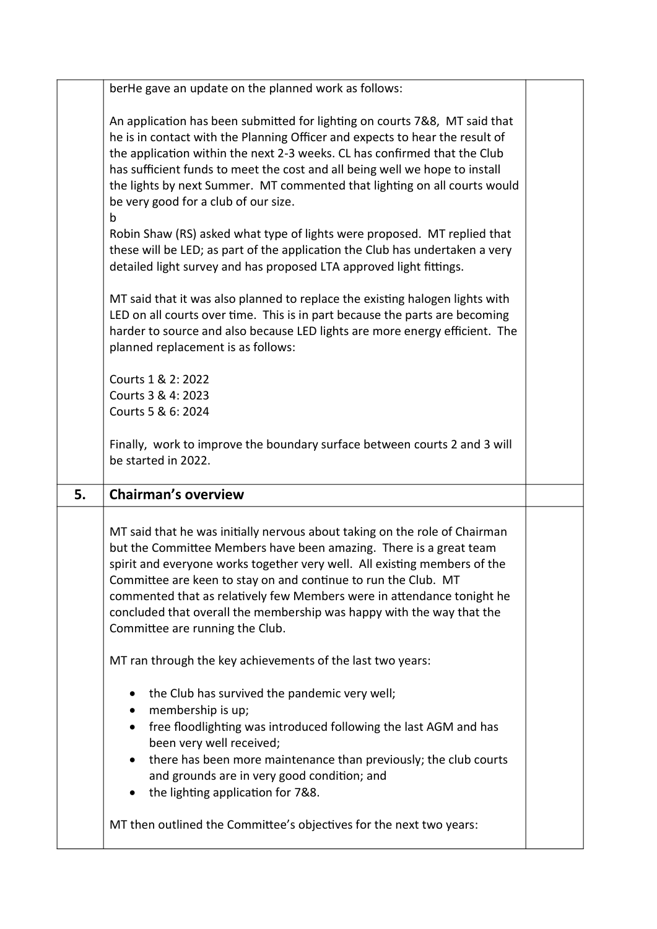|    | berHe gave an update on the planned work as follows:                                                                                                                                                                                                                                                                                                                                                                                                                                  |  |
|----|---------------------------------------------------------------------------------------------------------------------------------------------------------------------------------------------------------------------------------------------------------------------------------------------------------------------------------------------------------------------------------------------------------------------------------------------------------------------------------------|--|
|    | An application has been submitted for lighting on courts 7&8, MT said that<br>he is in contact with the Planning Officer and expects to hear the result of<br>the application within the next 2-3 weeks. CL has confirmed that the Club<br>has sufficient funds to meet the cost and all being well we hope to install<br>the lights by next Summer. MT commented that lighting on all courts would<br>be very good for a club of our size.                                           |  |
|    | b<br>Robin Shaw (RS) asked what type of lights were proposed. MT replied that<br>these will be LED; as part of the application the Club has undertaken a very<br>detailed light survey and has proposed LTA approved light fittings.                                                                                                                                                                                                                                                  |  |
|    | MT said that it was also planned to replace the existing halogen lights with<br>LED on all courts over time. This is in part because the parts are becoming<br>harder to source and also because LED lights are more energy efficient. The<br>planned replacement is as follows:                                                                                                                                                                                                      |  |
|    | Courts 1 & 2: 2022<br>Courts 3 & 4: 2023<br>Courts 5 & 6: 2024                                                                                                                                                                                                                                                                                                                                                                                                                        |  |
|    | Finally, work to improve the boundary surface between courts 2 and 3 will<br>be started in 2022.                                                                                                                                                                                                                                                                                                                                                                                      |  |
| 5. | <b>Chairman's overview</b>                                                                                                                                                                                                                                                                                                                                                                                                                                                            |  |
|    | MT said that he was initially nervous about taking on the role of Chairman<br>but the Committee Members have been amazing. There is a great team<br>spirit and everyone works together very well. All existing members of the<br>Committee are keen to stay on and continue to run the Club. MT<br>commented that as relatively few Members were in attendance tonight he<br>concluded that overall the membership was happy with the way that the<br>Committee are running the Club. |  |
|    | MT ran through the key achievements of the last two years:                                                                                                                                                                                                                                                                                                                                                                                                                            |  |
|    | the Club has survived the pandemic very well;<br>membership is up;<br>free floodlighting was introduced following the last AGM and has<br>been very well received;<br>there has been more maintenance than previously; the club courts<br>and grounds are in very good condition; and<br>the lighting application for 7&8.                                                                                                                                                            |  |
|    |                                                                                                                                                                                                                                                                                                                                                                                                                                                                                       |  |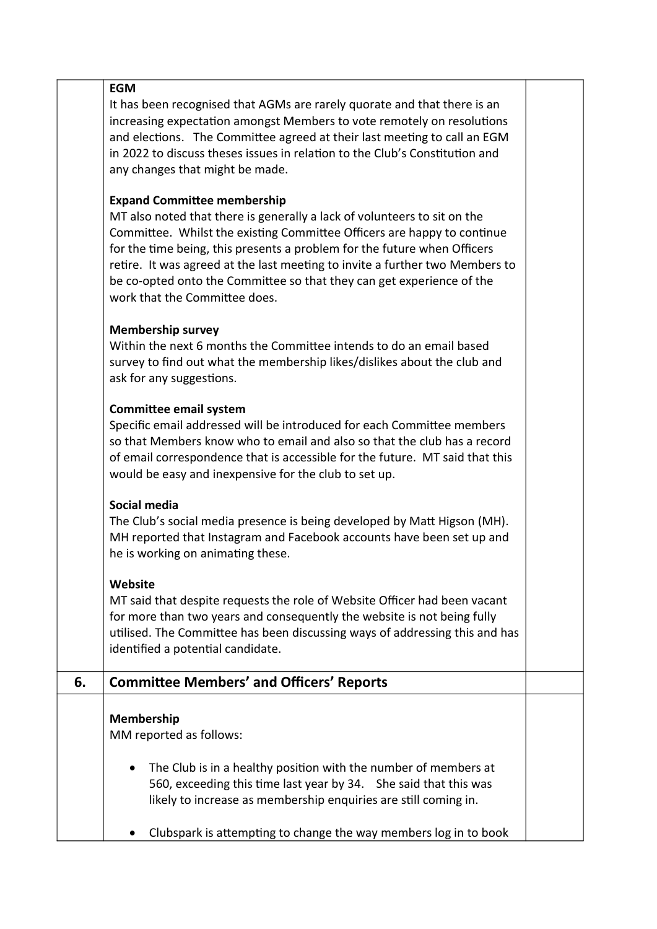|    | <b>EGM</b>                                                                   |  |
|----|------------------------------------------------------------------------------|--|
|    | It has been recognised that AGMs are rarely quorate and that there is an     |  |
|    | increasing expectation amongst Members to vote remotely on resolutions       |  |
|    | and elections. The Committee agreed at their last meeting to call an EGM     |  |
|    | in 2022 to discuss theses issues in relation to the Club's Constitution and  |  |
|    |                                                                              |  |
|    | any changes that might be made.                                              |  |
|    |                                                                              |  |
|    | <b>Expand Committee membership</b>                                           |  |
|    | MT also noted that there is generally a lack of volunteers to sit on the     |  |
|    | Committee. Whilst the existing Committee Officers are happy to continue      |  |
|    | for the time being, this presents a problem for the future when Officers     |  |
|    | retire. It was agreed at the last meeting to invite a further two Members to |  |
|    | be co-opted onto the Committee so that they can get experience of the        |  |
|    | work that the Committee does.                                                |  |
|    |                                                                              |  |
|    | <b>Membership survey</b>                                                     |  |
|    | Within the next 6 months the Committee intends to do an email based          |  |
|    | survey to find out what the membership likes/dislikes about the club and     |  |
|    | ask for any suggestions.                                                     |  |
|    |                                                                              |  |
|    | <b>Committee email system</b>                                                |  |
|    | Specific email addressed will be introduced for each Committee members       |  |
|    | so that Members know who to email and also so that the club has a record     |  |
|    | of email correspondence that is accessible for the future. MT said that this |  |
|    | would be easy and inexpensive for the club to set up.                        |  |
|    |                                                                              |  |
|    | Social media                                                                 |  |
|    | The Club's social media presence is being developed by Matt Higson (MH).     |  |
|    | MH reported that Instagram and Facebook accounts have been set up and        |  |
|    | he is working on animating these.                                            |  |
|    |                                                                              |  |
|    | Website                                                                      |  |
|    | MT said that despite requests the role of Website Officer had been vacant    |  |
|    | for more than two years and consequently the website is not being fully      |  |
|    | utilised. The Committee has been discussing ways of addressing this and has  |  |
|    | identified a potential candidate.                                            |  |
|    |                                                                              |  |
| 6. | <b>Committee Members' and Officers' Reports</b>                              |  |
|    |                                                                              |  |
|    | Membership                                                                   |  |
|    | MM reported as follows:                                                      |  |
|    |                                                                              |  |
|    | The Club is in a healthy position with the number of members at              |  |
|    | 560, exceeding this time last year by 34. She said that this was             |  |
|    | likely to increase as membership enquiries are still coming in.              |  |
|    |                                                                              |  |
|    | Clubspark is attempting to change the way members log in to book             |  |
|    |                                                                              |  |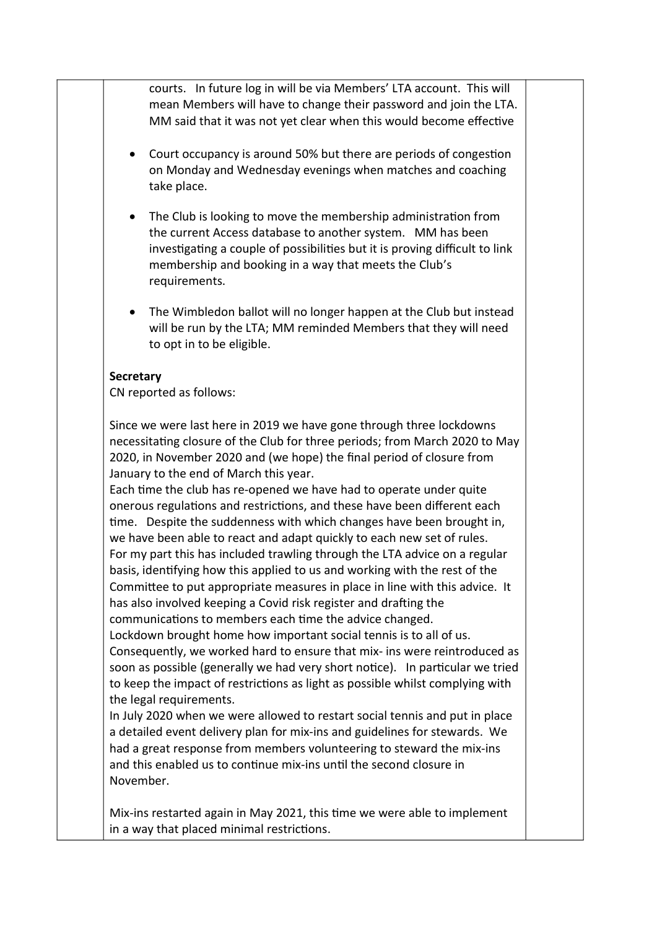courts. In future log in will be via Members' LTA account. This will mean Members will have to change their password and join the LTA. MM said that it was not yet clear when this would become effective

- Court occupancy is around 50% but there are periods of congestion on Monday and Wednesday evenings when matches and coaching take place.
- The Club is looking to move the membership administration from the current Access database to another system. MM has been investigating a couple of possibilities but it is proving difficult to link membership and booking in a way that meets the Club's requirements.
- The Wimbledon ballot will no longer happen at the Club but instead will be run by the LTA; MM reminded Members that they will need to opt in to be eligible.

#### **Secretary**

CN reported as follows:

Since we were last here in 2019 we have gone through three lockdowns necessitaƟng closure of the Club for three periods; from March 2020 to May 2020, in November 2020 and (we hope) the final period of closure from January to the end of March this year.

Each time the club has re-opened we have had to operate under quite onerous regulations and restrictions, and these have been different each time. Despite the suddenness with which changes have been brought in, we have been able to react and adapt quickly to each new set of rules. For my part this has included trawling through the LTA advice on a regular basis, identifying how this applied to us and working with the rest of the Committee to put appropriate measures in place in line with this advice. It has also involved keeping a Covid risk register and drafting the communications to members each time the advice changed.

Lockdown brought home how important social tennis is to all of us. Consequently, we worked hard to ensure that mix- ins were reintroduced as soon as possible (generally we had very short notice). In particular we tried to keep the impact of restrictions as light as possible whilst complying with the legal requirements.

In July 2020 when we were allowed to restart social tennis and put in place a detailed event delivery plan for mix-ins and guidelines for stewards. We had a great response from members volunteering to steward the mix-ins and this enabled us to continue mix-ins until the second closure in November.

Mix-ins restarted again in May 2021, this time we were able to implement in a way that placed minimal restrictions.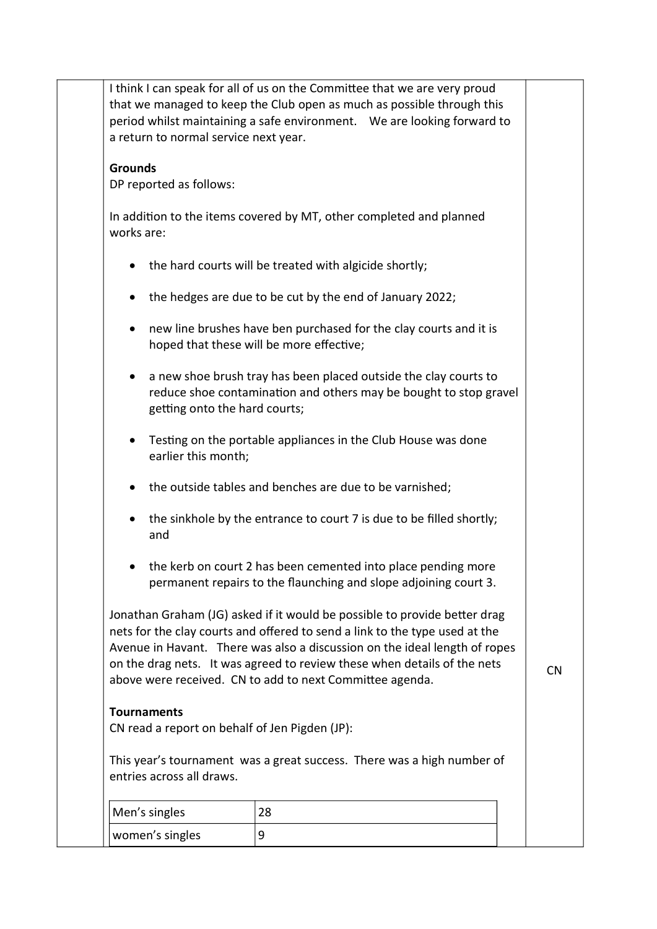|                                                                      | I think I can speak for all of us on the Committee that we are very proud<br>that we managed to keep the Club open as much as possible through this<br>period whilst maintaining a safe environment.  We are looking forward to                                                                                                                                                |           |
|----------------------------------------------------------------------|--------------------------------------------------------------------------------------------------------------------------------------------------------------------------------------------------------------------------------------------------------------------------------------------------------------------------------------------------------------------------------|-----------|
| a return to normal service next year.                                |                                                                                                                                                                                                                                                                                                                                                                                |           |
| <b>Grounds</b>                                                       |                                                                                                                                                                                                                                                                                                                                                                                |           |
| DP reported as follows:                                              |                                                                                                                                                                                                                                                                                                                                                                                |           |
| works are:                                                           | In addition to the items covered by MT, other completed and planned                                                                                                                                                                                                                                                                                                            |           |
|                                                                      | the hard courts will be treated with algicide shortly;                                                                                                                                                                                                                                                                                                                         |           |
|                                                                      | the hedges are due to be cut by the end of January 2022;                                                                                                                                                                                                                                                                                                                       |           |
|                                                                      | new line brushes have ben purchased for the clay courts and it is<br>hoped that these will be more effective;                                                                                                                                                                                                                                                                  |           |
| ٠<br>getting onto the hard courts;                                   | a new shoe brush tray has been placed outside the clay courts to<br>reduce shoe contamination and others may be bought to stop gravel                                                                                                                                                                                                                                          |           |
| earlier this month;                                                  | Testing on the portable appliances in the Club House was done                                                                                                                                                                                                                                                                                                                  |           |
|                                                                      | the outside tables and benches are due to be varnished;                                                                                                                                                                                                                                                                                                                        |           |
| and                                                                  | the sinkhole by the entrance to court 7 is due to be filled shortly;                                                                                                                                                                                                                                                                                                           |           |
|                                                                      | the kerb on court 2 has been cemented into place pending more<br>permanent repairs to the flaunching and slope adjoining court 3.                                                                                                                                                                                                                                              |           |
|                                                                      | Jonathan Graham (JG) asked if it would be possible to provide better drag<br>nets for the clay courts and offered to send a link to the type used at the<br>Avenue in Havant. There was also a discussion on the ideal length of ropes<br>on the drag nets. It was agreed to review these when details of the nets<br>above were received. CN to add to next Committee agenda. | <b>CN</b> |
| <b>Tournaments</b><br>CN read a report on behalf of Jen Pigden (JP): |                                                                                                                                                                                                                                                                                                                                                                                |           |
|                                                                      | This year's tournament was a great success. There was a high number of                                                                                                                                                                                                                                                                                                         |           |
| entries across all draws.                                            |                                                                                                                                                                                                                                                                                                                                                                                |           |
| Men's singles                                                        | 28                                                                                                                                                                                                                                                                                                                                                                             |           |
| women's singles                                                      | 9                                                                                                                                                                                                                                                                                                                                                                              |           |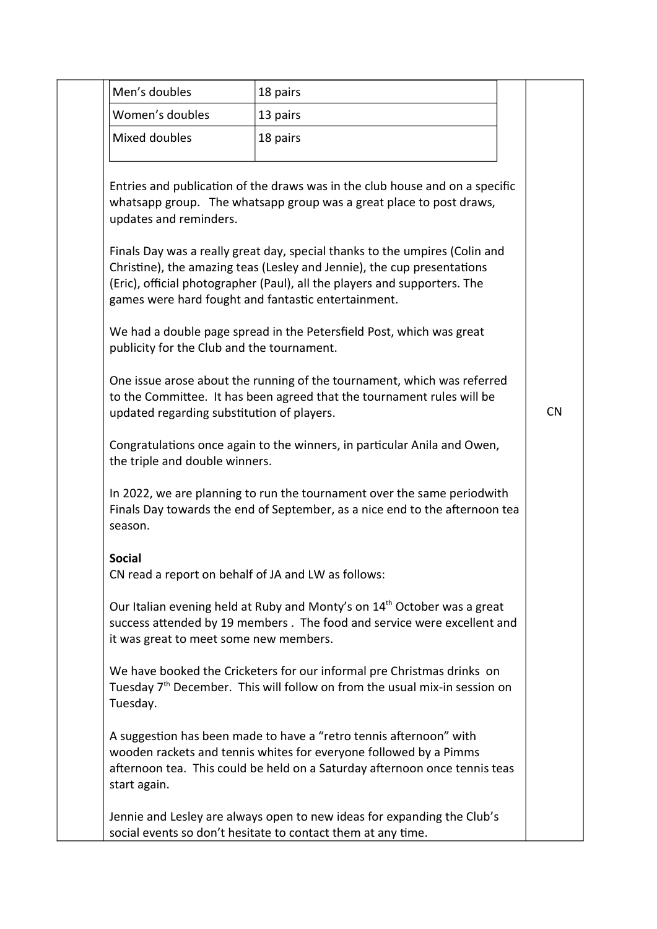| Men's doubles                                                        | 18 pairs                                                                                                                                                                                                                            |           |
|----------------------------------------------------------------------|-------------------------------------------------------------------------------------------------------------------------------------------------------------------------------------------------------------------------------------|-----------|
| Women's doubles                                                      | 13 pairs                                                                                                                                                                                                                            |           |
| Mixed doubles                                                        | 18 pairs                                                                                                                                                                                                                            |           |
| updates and reminders.                                               | Entries and publication of the draws was in the club house and on a specific<br>whatsapp group. The whatsapp group was a great place to post draws,                                                                                 |           |
| games were hard fought and fantastic entertainment.                  | Finals Day was a really great day, special thanks to the umpires (Colin and<br>Christine), the amazing teas (Lesley and Jennie), the cup presentations<br>(Eric), official photographer (Paul), all the players and supporters. The |           |
| publicity for the Club and the tournament.                           | We had a double page spread in the Petersfield Post, which was great                                                                                                                                                                |           |
| updated regarding substitution of players.                           | One issue arose about the running of the tournament, which was referred<br>to the Committee. It has been agreed that the tournament rules will be                                                                                   | <b>CN</b> |
| the triple and double winners.                                       | Congratulations once again to the winners, in particular Anila and Owen,                                                                                                                                                            |           |
| season.                                                              | In 2022, we are planning to run the tournament over the same periodwith<br>Finals Day towards the end of September, as a nice end to the afternoon tea                                                                              |           |
| <b>Social</b><br>CN read a report on behalf of JA and LW as follows: |                                                                                                                                                                                                                                     |           |
| it was great to meet some new members.                               | Our Italian evening held at Ruby and Monty's on 14 <sup>th</sup> October was a great<br>success attended by 19 members. The food and service were excellent and                                                                     |           |
| Tuesday.                                                             | We have booked the Cricketers for our informal pre Christmas drinks on<br>Tuesday 7 <sup>th</sup> December. This will follow on from the usual mix-in session on                                                                    |           |
| start again.                                                         | A suggestion has been made to have a "retro tennis afternoon" with<br>wooden rackets and tennis whites for everyone followed by a Pimms<br>afternoon tea. This could be held on a Saturday afternoon once tennis teas               |           |
|                                                                      | Jennie and Lesley are always open to new ideas for expanding the Club's<br>social events so don't hesitate to contact them at any time.                                                                                             |           |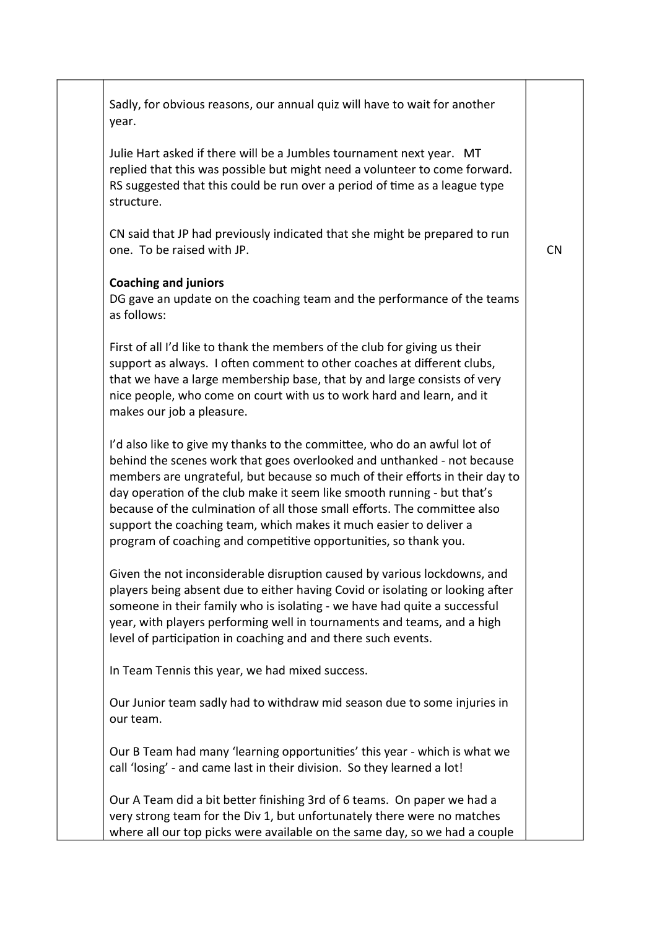| Sadly, for obvious reasons, our annual quiz will have to wait for another<br>year.                                                                                                                                                                                                                                                                                                                                                                                                                                                    |           |
|---------------------------------------------------------------------------------------------------------------------------------------------------------------------------------------------------------------------------------------------------------------------------------------------------------------------------------------------------------------------------------------------------------------------------------------------------------------------------------------------------------------------------------------|-----------|
| Julie Hart asked if there will be a Jumbles tournament next year. MT<br>replied that this was possible but might need a volunteer to come forward.<br>RS suggested that this could be run over a period of time as a league type<br>structure.                                                                                                                                                                                                                                                                                        |           |
| CN said that JP had previously indicated that she might be prepared to run<br>one. To be raised with JP.                                                                                                                                                                                                                                                                                                                                                                                                                              | <b>CN</b> |
| <b>Coaching and juniors</b><br>DG gave an update on the coaching team and the performance of the teams<br>as follows:                                                                                                                                                                                                                                                                                                                                                                                                                 |           |
| First of all I'd like to thank the members of the club for giving us their<br>support as always. I often comment to other coaches at different clubs,<br>that we have a large membership base, that by and large consists of very<br>nice people, who come on court with us to work hard and learn, and it<br>makes our job a pleasure.                                                                                                                                                                                               |           |
| I'd also like to give my thanks to the committee, who do an awful lot of<br>behind the scenes work that goes overlooked and unthanked - not because<br>members are ungrateful, but because so much of their efforts in their day to<br>day operation of the club make it seem like smooth running - but that's<br>because of the culmination of all those small efforts. The committee also<br>support the coaching team, which makes it much easier to deliver a<br>program of coaching and competitive opportunities, so thank you. |           |
| Given the not inconsiderable disruption caused by various lockdowns, and<br>players being absent due to either having Covid or isolating or looking after<br>someone in their family who is isolating - we have had quite a successful<br>year, with players performing well in tournaments and teams, and a high<br>level of participation in coaching and and there such events.                                                                                                                                                    |           |
| In Team Tennis this year, we had mixed success.                                                                                                                                                                                                                                                                                                                                                                                                                                                                                       |           |
| Our Junior team sadly had to withdraw mid season due to some injuries in<br>our team.                                                                                                                                                                                                                                                                                                                                                                                                                                                 |           |
| Our B Team had many 'learning opportunities' this year - which is what we<br>call 'losing' - and came last in their division. So they learned a lot!                                                                                                                                                                                                                                                                                                                                                                                  |           |
| Our A Team did a bit better finishing 3rd of 6 teams. On paper we had a<br>very strong team for the Div 1, but unfortunately there were no matches<br>where all our top picks were available on the same day, so we had a couple                                                                                                                                                                                                                                                                                                      |           |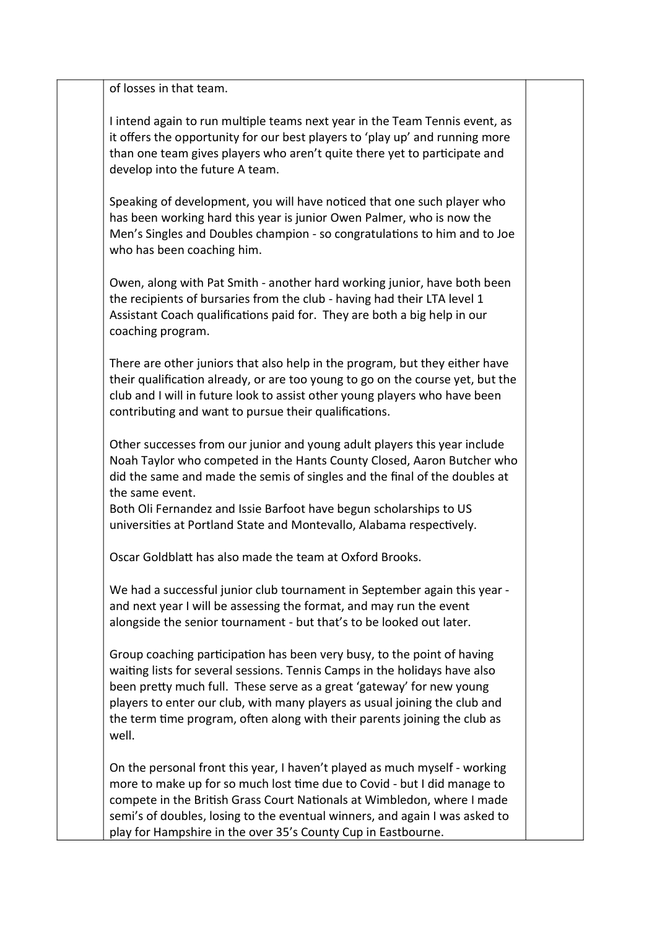of losses in that team.

I intend again to run multiple teams next year in the Team Tennis event, as it offers the opportunity for our best players to 'play up' and running more than one team gives players who aren't quite there yet to participate and develop into the future A team.

Speaking of development, you will have noticed that one such player who has been working hard this year is junior Owen Palmer, who is now the Men's Singles and Doubles champion - so congratulations to him and to Joe who has been coaching him.

Owen, along with Pat Smith - another hard working junior, have both been the recipients of bursaries from the club - having had their LTA level 1 Assistant Coach qualifications paid for. They are both a big help in our coaching program.

There are other juniors that also help in the program, but they either have their qualification already, or are too young to go on the course yet, but the club and I will in future look to assist other young players who have been contributing and want to pursue their qualifications.

Other successes from our junior and young adult players this year include Noah Taylor who competed in the Hants County Closed, Aaron Butcher who did the same and made the semis of singles and the final of the doubles at the same event.

Both Oli Fernandez and Issie Barfoot have begun scholarships to US universities at Portland State and Montevallo, Alabama respectively.

Oscar GoldblaƩ has also made the team at Oxford Brooks.

We had a successful junior club tournament in September again this year and next year I will be assessing the format, and may run the event alongside the senior tournament - but that's to be looked out later.

Group coaching participation has been very busy, to the point of having waiting lists for several sessions. Tennis Camps in the holidays have also been pretty much full. These serve as a great 'gateway' for new young players to enter our club, with many players as usual joining the club and the term time program, often along with their parents joining the club as well.

On the personal front this year, I haven't played as much myself - working more to make up for so much lost time due to Covid - but I did manage to compete in the British Grass Court Nationals at Wimbledon, where I made semi's of doubles, losing to the eventual winners, and again I was asked to play for Hampshire in the over 35's County Cup in Eastbourne.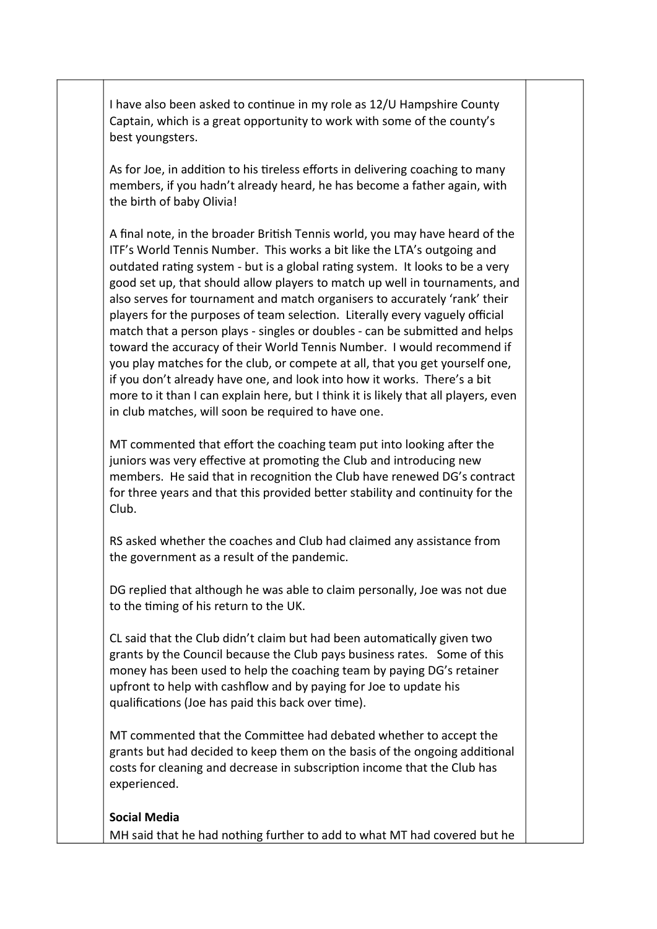I have also been asked to continue in my role as 12/U Hampshire County Captain, which is a great opportunity to work with some of the county's best youngsters.

As for Joe, in addition to his tireless efforts in delivering coaching to many members, if you hadn't already heard, he has become a father again, with the birth of baby Olivia!

A final note, in the broader British Tennis world, you may have heard of the ITF's World Tennis Number. This works a bit like the LTA's outgoing and outdated rating system - but is a global rating system. It looks to be a very good set up, that should allow players to match up well in tournaments, and also serves for tournament and match organisers to accurately 'rank' their players for the purposes of team selection. Literally every vaguely official match that a person plays - singles or doubles - can be submitted and helps toward the accuracy of their World Tennis Number. I would recommend if you play matches for the club, or compete at all, that you get yourself one, if you don't already have one, and look into how it works. There's a bit more to it than I can explain here, but I think it is likely that all players, even in club matches, will soon be required to have one.

MT commented that effort the coaching team put into looking after the juniors was very effective at promoting the Club and introducing new members. He said that in recognition the Club have renewed DG's contract for three years and that this provided better stability and continuity for the Club.

RS asked whether the coaches and Club had claimed any assistance from the government as a result of the pandemic.

DG replied that although he was able to claim personally, Joe was not due to the timing of his return to the UK.

CL said that the Club didn't claim but had been automatically given two grants by the Council because the Club pays business rates. Some of this money has been used to help the coaching team by paying DG's retainer upfront to help with cashflow and by paying for Joe to update his qualifications (Joe has paid this back over time).

MT commented that the Committee had debated whether to accept the grants but had decided to keep them on the basis of the ongoing additional costs for cleaning and decrease in subscription income that the Club has experienced.

### Social Media MH said that he had nothing further to add to what MT had covered but he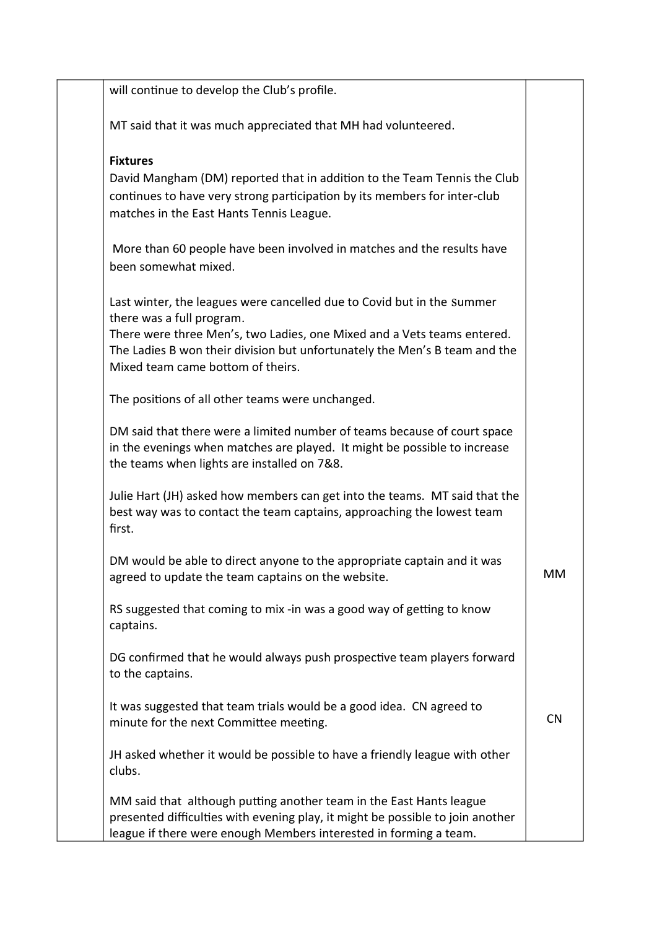| will continue to develop the Club's profile.                                                                                                                                                                                                                                                      |           |
|---------------------------------------------------------------------------------------------------------------------------------------------------------------------------------------------------------------------------------------------------------------------------------------------------|-----------|
| MT said that it was much appreciated that MH had volunteered.                                                                                                                                                                                                                                     |           |
| <b>Fixtures</b><br>David Mangham (DM) reported that in addition to the Team Tennis the Club<br>continues to have very strong participation by its members for inter-club<br>matches in the East Hants Tennis League.                                                                              |           |
| More than 60 people have been involved in matches and the results have<br>been somewhat mixed.                                                                                                                                                                                                    |           |
| Last winter, the leagues were cancelled due to Covid but in the summer<br>there was a full program.<br>There were three Men's, two Ladies, one Mixed and a Vets teams entered.<br>The Ladies B won their division but unfortunately the Men's B team and the<br>Mixed team came bottom of theirs. |           |
| The positions of all other teams were unchanged.                                                                                                                                                                                                                                                  |           |
| DM said that there were a limited number of teams because of court space<br>in the evenings when matches are played. It might be possible to increase<br>the teams when lights are installed on 7&8.                                                                                              |           |
| Julie Hart (JH) asked how members can get into the teams. MT said that the<br>best way was to contact the team captains, approaching the lowest team<br>first.                                                                                                                                    |           |
| DM would be able to direct anyone to the appropriate captain and it was<br>agreed to update the team captains on the website.                                                                                                                                                                     | MM        |
| RS suggested that coming to mix -in was a good way of getting to know<br>captains.                                                                                                                                                                                                                |           |
| DG confirmed that he would always push prospective team players forward<br>to the captains.                                                                                                                                                                                                       |           |
| It was suggested that team trials would be a good idea. CN agreed to<br>minute for the next Committee meeting.                                                                                                                                                                                    | <b>CN</b> |
| JH asked whether it would be possible to have a friendly league with other<br>clubs.                                                                                                                                                                                                              |           |
| MM said that although putting another team in the East Hants league<br>presented difficulties with evening play, it might be possible to join another<br>league if there were enough Members interested in forming a team.                                                                        |           |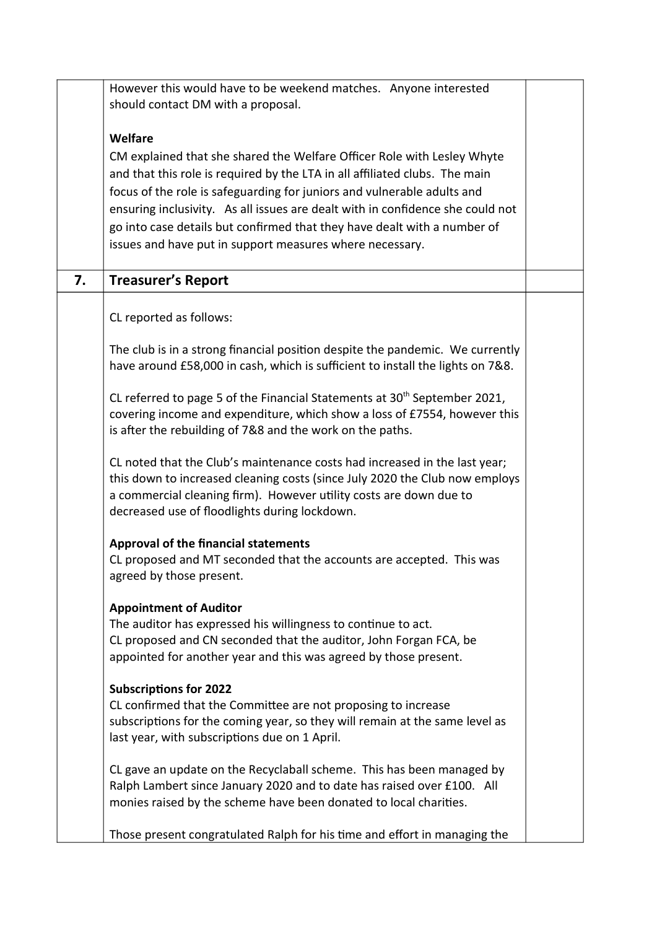|    | However this would have to be weekend matches. Anyone interested                      |  |
|----|---------------------------------------------------------------------------------------|--|
|    | should contact DM with a proposal.                                                    |  |
|    | <b>Welfare</b>                                                                        |  |
|    | CM explained that she shared the Welfare Officer Role with Lesley Whyte               |  |
|    | and that this role is required by the LTA in all affiliated clubs. The main           |  |
|    | focus of the role is safeguarding for juniors and vulnerable adults and               |  |
|    | ensuring inclusivity. As all issues are dealt with in confidence she could not        |  |
|    | go into case details but confirmed that they have dealt with a number of              |  |
|    | issues and have put in support measures where necessary.                              |  |
| 7. | <b>Treasurer's Report</b>                                                             |  |
|    |                                                                                       |  |
|    | CL reported as follows:                                                               |  |
|    | The club is in a strong financial position despite the pandemic. We currently         |  |
|    | have around £58,000 in cash, which is sufficient to install the lights on 7&8.        |  |
|    | CL referred to page 5 of the Financial Statements at 30 <sup>th</sup> September 2021, |  |
|    | covering income and expenditure, which show a loss of £7554, however this             |  |
|    | is after the rebuilding of 7&8 and the work on the paths.                             |  |
|    | CL noted that the Club's maintenance costs had increased in the last year;            |  |
|    | this down to increased cleaning costs (since July 2020 the Club now employs           |  |
|    | a commercial cleaning firm). However utility costs are down due to                    |  |
|    | decreased use of floodlights during lockdown.                                         |  |
|    | <b>Approval of the financial statements</b>                                           |  |
|    | CL proposed and MT seconded that the accounts are accepted. This was                  |  |
|    | agreed by those present.                                                              |  |
|    | <b>Appointment of Auditor</b>                                                         |  |
|    | The auditor has expressed his willingness to continue to act.                         |  |
|    | CL proposed and CN seconded that the auditor, John Forgan FCA, be                     |  |
|    | appointed for another year and this was agreed by those present.                      |  |
|    | <b>Subscriptions for 2022</b>                                                         |  |
|    | CL confirmed that the Committee are not proposing to increase                         |  |
|    | subscriptions for the coming year, so they will remain at the same level as           |  |
|    | last year, with subscriptions due on 1 April.                                         |  |
|    | CL gave an update on the Recyclaball scheme. This has been managed by                 |  |
|    | Ralph Lambert since January 2020 and to date has raised over £100. All                |  |
|    | monies raised by the scheme have been donated to local charities.                     |  |
|    | Those present congratulated Ralph for his time and effort in managing the             |  |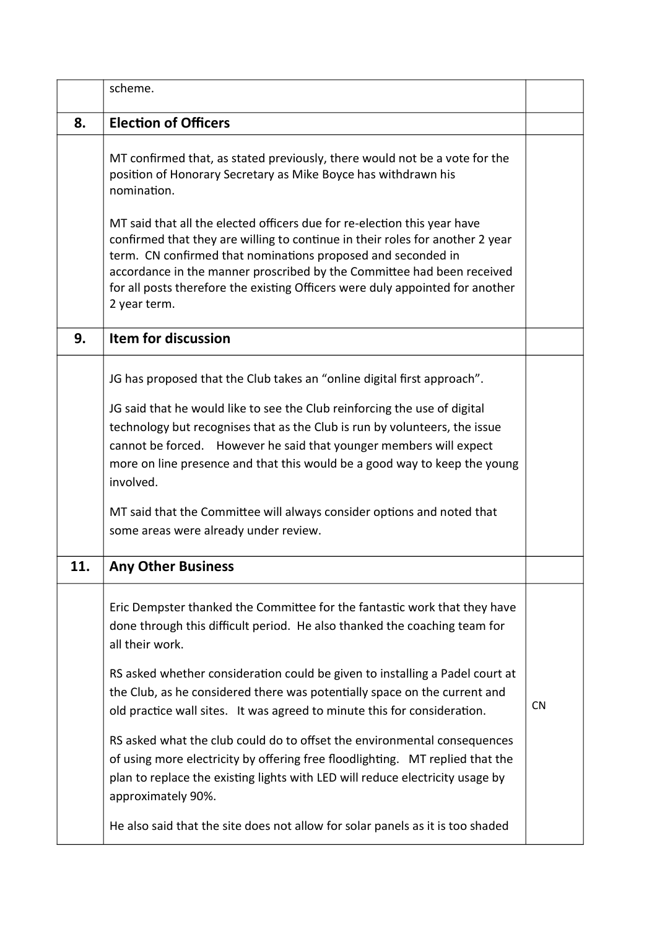|     | scheme.                                                                                                                                                                                                                                                                                                                                                                                              |           |
|-----|------------------------------------------------------------------------------------------------------------------------------------------------------------------------------------------------------------------------------------------------------------------------------------------------------------------------------------------------------------------------------------------------------|-----------|
| 8.  | <b>Election of Officers</b>                                                                                                                                                                                                                                                                                                                                                                          |           |
|     | MT confirmed that, as stated previously, there would not be a vote for the<br>position of Honorary Secretary as Mike Boyce has withdrawn his<br>nomination.                                                                                                                                                                                                                                          |           |
|     | MT said that all the elected officers due for re-election this year have<br>confirmed that they are willing to continue in their roles for another 2 year<br>term. CN confirmed that nominations proposed and seconded in<br>accordance in the manner proscribed by the Committee had been received<br>for all posts therefore the existing Officers were duly appointed for another<br>2 year term. |           |
| 9.  | <b>Item for discussion</b>                                                                                                                                                                                                                                                                                                                                                                           |           |
|     | JG has proposed that the Club takes an "online digital first approach".                                                                                                                                                                                                                                                                                                                              |           |
|     | JG said that he would like to see the Club reinforcing the use of digital<br>technology but recognises that as the Club is run by volunteers, the issue<br>cannot be forced. However he said that younger members will expect<br>more on line presence and that this would be a good way to keep the young<br>involved.                                                                              |           |
|     | MT said that the Committee will always consider options and noted that<br>some areas were already under review.                                                                                                                                                                                                                                                                                      |           |
| 11. | <b>Any Other Business</b>                                                                                                                                                                                                                                                                                                                                                                            |           |
|     | Eric Dempster thanked the Committee for the fantastic work that they have<br>done through this difficult period. He also thanked the coaching team for<br>all their work.                                                                                                                                                                                                                            |           |
|     | RS asked whether consideration could be given to installing a Padel court at<br>the Club, as he considered there was potentially space on the current and<br>old practice wall sites. It was agreed to minute this for consideration.                                                                                                                                                                | <b>CN</b> |
|     | RS asked what the club could do to offset the environmental consequences<br>of using more electricity by offering free floodlighting. MT replied that the<br>plan to replace the existing lights with LED will reduce electricity usage by<br>approximately 90%.                                                                                                                                     |           |
|     | He also said that the site does not allow for solar panels as it is too shaded                                                                                                                                                                                                                                                                                                                       |           |